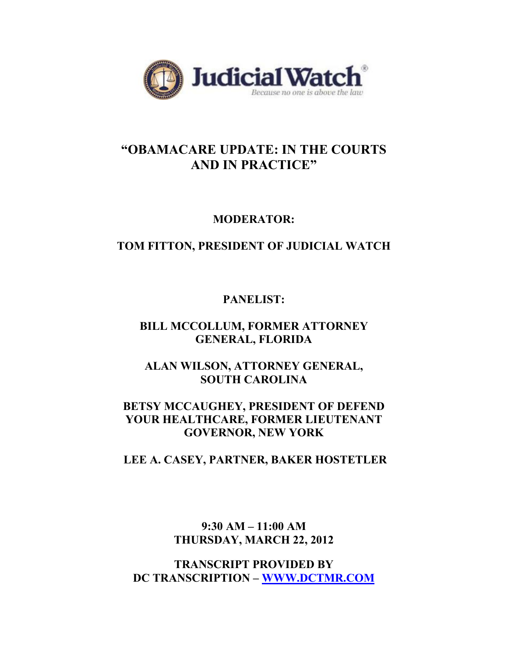

# **"OBAMACARE UPDATE: IN THE COURTS AND IN PRACTICE"**

### **MODERATOR:**

## **TOM FITTON, PRESIDENT OF JUDICIAL WATCH**

## **PANELIST:**

## **BILL MCCOLLUM, FORMER ATTORNEY GENERAL, FLORIDA**

## **ALAN WILSON, ATTORNEY GENERAL, SOUTH CAROLINA**

### **BETSY MCCAUGHEY, PRESIDENT OF DEFEND YOUR HEALTHCARE, FORMER LIEUTENANT GOVERNOR, NEW YORK**

### **LEE A. CASEY, PARTNER, BAKER HOSTETLER**

## **9:30 AM – 11:00 AM THURSDAY, MARCH 22, 2012**

**TRANSCRIPT PROVIDED BY DC TRANSCRIPTION – WWW.DCTMR.COM**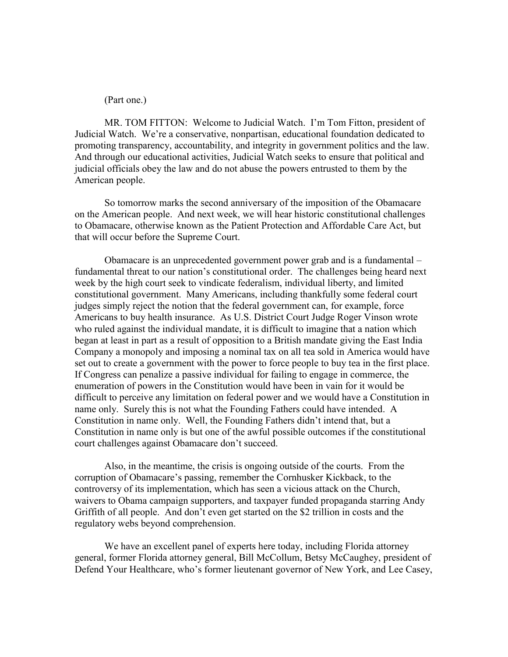#### (Part one.)

MR. TOM FITTON: Welcome to Judicial Watch. I'm Tom Fitton, president of Judicial Watch. We're a conservative, nonpartisan, educational foundation dedicated to promoting transparency, accountability, and integrity in government politics and the law. And through our educational activities, Judicial Watch seeks to ensure that political and judicial officials obey the law and do not abuse the powers entrusted to them by the American people.

So tomorrow marks the second anniversary of the imposition of the Obamacare on the American people. And next week, we will hear historic constitutional challenges to Obamacare, otherwise known as the Patient Protection and Affordable Care Act, but that will occur before the Supreme Court.

Obamacare is an unprecedented government power grab and is a fundamental – fundamental threat to our nation's constitutional order. The challenges being heard next week by the high court seek to vindicate federalism, individual liberty, and limited constitutional government. Many Americans, including thankfully some federal court judges simply reject the notion that the federal government can, for example, force Americans to buy health insurance. As U.S. District Court Judge Roger Vinson wrote who ruled against the individual mandate, it is difficult to imagine that a nation which began at least in part as a result of opposition to a British mandate giving the East India Company a monopoly and imposing a nominal tax on all tea sold in America would have set out to create a government with the power to force people to buy tea in the first place. If Congress can penalize a passive individual for failing to engage in commerce, the enumeration of powers in the Constitution would have been in vain for it would be difficult to perceive any limitation on federal power and we would have a Constitution in name only. Surely this is not what the Founding Fathers could have intended. A Constitution in name only. Well, the Founding Fathers didn't intend that, but a Constitution in name only is but one of the awful possible outcomes if the constitutional court challenges against Obamacare don't succeed.

Also, in the meantime, the crisis is ongoing outside of the courts. From the corruption of Obamacare's passing, remember the Cornhusker Kickback, to the controversy of its implementation, which has seen a vicious attack on the Church, waivers to Obama campaign supporters, and taxpayer funded propaganda starring Andy Griffith of all people. And don't even get started on the \$2 trillion in costs and the regulatory webs beyond comprehension.

We have an excellent panel of experts here today, including Florida attorney general, former Florida attorney general, Bill McCollum, Betsy McCaughey, president of Defend Your Healthcare, who's former lieutenant governor of New York, and Lee Casey,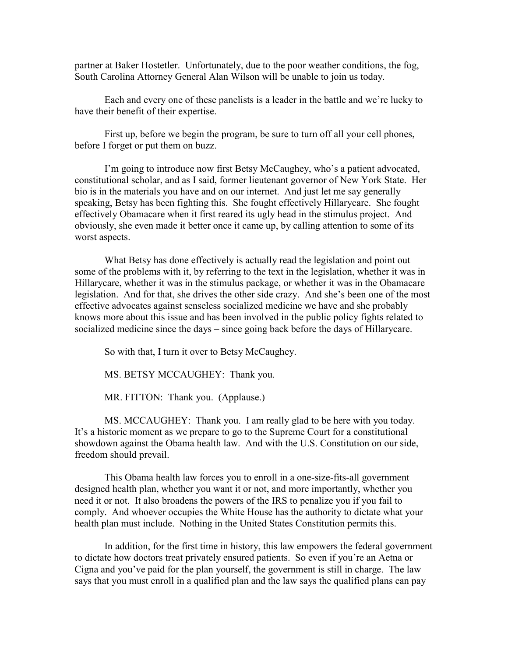partner at Baker Hostetler. Unfortunately, due to the poor weather conditions, the fog, South Carolina Attorney General Alan Wilson will be unable to join us today.

Each and every one of these panelists is a leader in the battle and we're lucky to have their benefit of their expertise.

First up, before we begin the program, be sure to turn off all your cell phones, before I forget or put them on buzz.

I'm going to introduce now first Betsy McCaughey, who's a patient advocated, constitutional scholar, and as I said, former lieutenant governor of New York State. Her bio is in the materials you have and on our internet. And just let me say generally speaking, Betsy has been fighting this. She fought effectively Hillarycare. She fought effectively Obamacare when it first reared its ugly head in the stimulus project. And obviously, she even made it better once it came up, by calling attention to some of its worst aspects.

What Betsy has done effectively is actually read the legislation and point out some of the problems with it, by referring to the text in the legislation, whether it was in Hillarycare, whether it was in the stimulus package, or whether it was in the Obamacare legislation. And for that, she drives the other side crazy. And she's been one of the most effective advocates against senseless socialized medicine we have and she probably knows more about this issue and has been involved in the public policy fights related to socialized medicine since the days – since going back before the days of Hillarycare.

So with that, I turn it over to Betsy McCaughey.

MS. BETSY MCCAUGHEY: Thank you.

MR. FITTON: Thank you. (Applause.)

MS. MCCAUGHEY: Thank you. I am really glad to be here with you today. It's a historic moment as we prepare to go to the Supreme Court for a constitutional showdown against the Obama health law. And with the U.S. Constitution on our side, freedom should prevail.

This Obama health law forces you to enroll in a one-size-fits-all government designed health plan, whether you want it or not, and more importantly, whether you need it or not. It also broadens the powers of the IRS to penalize you if you fail to comply. And whoever occupies the White House has the authority to dictate what your health plan must include. Nothing in the United States Constitution permits this.

In addition, for the first time in history, this law empowers the federal government to dictate how doctors treat privately ensured patients. So even if you're an Aetna or Cigna and you've paid for the plan yourself, the government is still in charge. The law says that you must enroll in a qualified plan and the law says the qualified plans can pay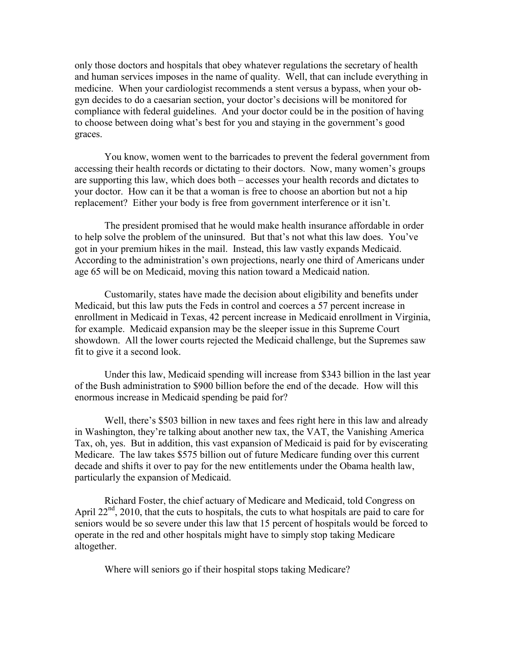only those doctors and hospitals that obey whatever regulations the secretary of health and human services imposes in the name of quality. Well, that can include everything in medicine. When your cardiologist recommends a stent versus a bypass, when your obgyn decides to do a caesarian section, your doctor's decisions will be monitored for compliance with federal guidelines. And your doctor could be in the position of having to choose between doing what's best for you and staying in the government's good graces.

You know, women went to the barricades to prevent the federal government from accessing their health records or dictating to their doctors. Now, many women's groups are supporting this law, which does both – accesses your health records and dictates to your doctor. How can it be that a woman is free to choose an abortion but not a hip replacement? Either your body is free from government interference or it isn't.

The president promised that he would make health insurance affordable in order to help solve the problem of the uninsured. But that's not what this law does. You've got in your premium hikes in the mail. Instead, this law vastly expands Medicaid. According to the administration's own projections, nearly one third of Americans under age 65 will be on Medicaid, moving this nation toward a Medicaid nation.

Customarily, states have made the decision about eligibility and benefits under Medicaid, but this law puts the Feds in control and coerces a 57 percent increase in enrollment in Medicaid in Texas, 42 percent increase in Medicaid enrollment in Virginia, for example. Medicaid expansion may be the sleeper issue in this Supreme Court showdown. All the lower courts rejected the Medicaid challenge, but the Supremes saw fit to give it a second look.

Under this law, Medicaid spending will increase from \$343 billion in the last year of the Bush administration to \$900 billion before the end of the decade. How will this enormous increase in Medicaid spending be paid for?

Well, there's \$503 billion in new taxes and fees right here in this law and already in Washington, they're talking about another new tax, the VAT, the Vanishing America Tax, oh, yes. But in addition, this vast expansion of Medicaid is paid for by eviscerating Medicare. The law takes \$575 billion out of future Medicare funding over this current decade and shifts it over to pay for the new entitlements under the Obama health law, particularly the expansion of Medicaid.

Richard Foster, the chief actuary of Medicare and Medicaid, told Congress on April  $22<sup>nd</sup>$ , 2010, that the cuts to hospitals, the cuts to what hospitals are paid to care for seniors would be so severe under this law that 15 percent of hospitals would be forced to operate in the red and other hospitals might have to simply stop taking Medicare altogether.

Where will seniors go if their hospital stops taking Medicare?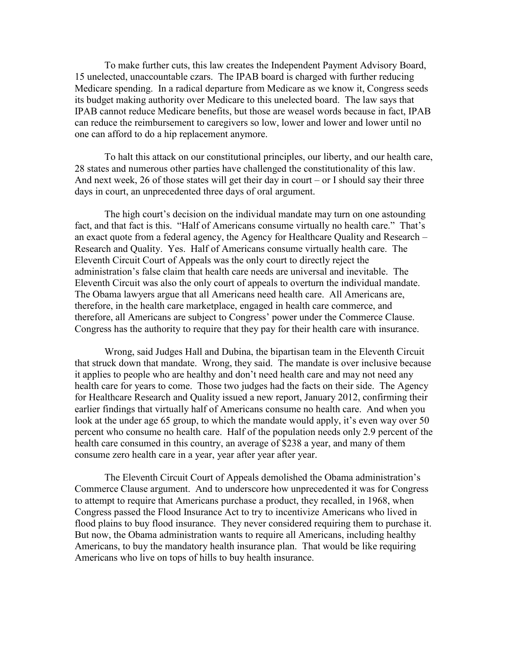To make further cuts, this law creates the Independent Payment Advisory Board, 15 unelected, unaccountable czars. The IPAB board is charged with further reducing Medicare spending. In a radical departure from Medicare as we know it, Congress seeds its budget making authority over Medicare to this unelected board. The law says that IPAB cannot reduce Medicare benefits, but those are weasel words because in fact, IPAB can reduce the reimbursement to caregivers so low, lower and lower and lower until no one can afford to do a hip replacement anymore.

To halt this attack on our constitutional principles, our liberty, and our health care, 28 states and numerous other parties have challenged the constitutionality of this law. And next week, 26 of those states will get their day in court – or I should say their three days in court, an unprecedented three days of oral argument.

The high court's decision on the individual mandate may turn on one astounding fact, and that fact is this. "Half of Americans consume virtually no health care." That's an exact quote from a federal agency, the Agency for Healthcare Quality and Research – Research and Quality. Yes. Half of Americans consume virtually health care. The Eleventh Circuit Court of Appeals was the only court to directly reject the administration's false claim that health care needs are universal and inevitable. The Eleventh Circuit was also the only court of appeals to overturn the individual mandate. The Obama lawyers argue that all Americans need health care. All Americans are, therefore, in the health care marketplace, engaged in health care commerce, and therefore, all Americans are subject to Congress' power under the Commerce Clause. Congress has the authority to require that they pay for their health care with insurance.

Wrong, said Judges Hall and Dubina, the bipartisan team in the Eleventh Circuit that struck down that mandate. Wrong, they said. The mandate is over inclusive because it applies to people who are healthy and don't need health care and may not need any health care for years to come. Those two judges had the facts on their side. The Agency for Healthcare Research and Quality issued a new report, January 2012, confirming their earlier findings that virtually half of Americans consume no health care. And when you look at the under age 65 group, to which the mandate would apply, it's even way over 50 percent who consume no health care. Half of the population needs only 2.9 percent of the health care consumed in this country, an average of \$238 a year, and many of them consume zero health care in a year, year after year after year.

The Eleventh Circuit Court of Appeals demolished the Obama administration's Commerce Clause argument. And to underscore how unprecedented it was for Congress to attempt to require that Americans purchase a product, they recalled, in 1968, when Congress passed the Flood Insurance Act to try to incentivize Americans who lived in flood plains to buy flood insurance. They never considered requiring them to purchase it. But now, the Obama administration wants to require all Americans, including healthy Americans, to buy the mandatory health insurance plan. That would be like requiring Americans who live on tops of hills to buy health insurance.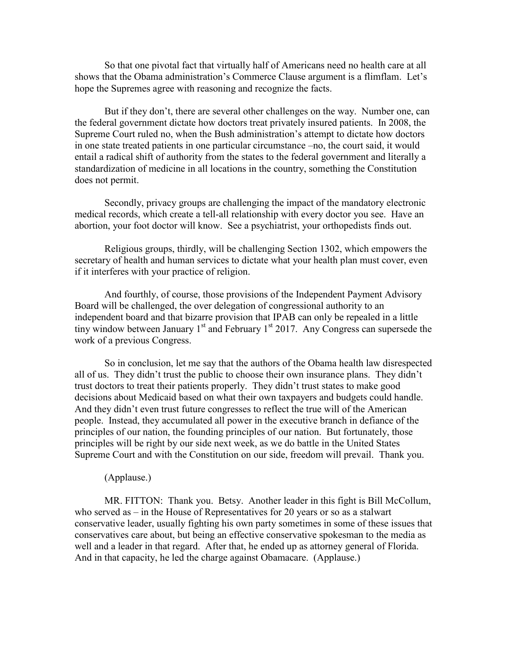So that one pivotal fact that virtually half of Americans need no health care at all shows that the Obama administration's Commerce Clause argument is a flimflam. Let's hope the Supremes agree with reasoning and recognize the facts.

But if they don't, there are several other challenges on the way. Number one, can the federal government dictate how doctors treat privately insured patients. In 2008, the Supreme Court ruled no, when the Bush administration's attempt to dictate how doctors in one state treated patients in one particular circumstance –no, the court said, it would entail a radical shift of authority from the states to the federal government and literally a standardization of medicine in all locations in the country, something the Constitution does not permit.

Secondly, privacy groups are challenging the impact of the mandatory electronic medical records, which create a tell-all relationship with every doctor you see. Have an abortion, your foot doctor will know. See a psychiatrist, your orthopedists finds out.

Religious groups, thirdly, will be challenging Section 1302, which empowers the secretary of health and human services to dictate what your health plan must cover, even if it interferes with your practice of religion.

And fourthly, of course, those provisions of the Independent Payment Advisory Board will be challenged, the over delegation of congressional authority to an independent board and that bizarre provision that IPAB can only be repealed in a little tiny window between January 1<sup>st</sup> and February 1<sup>st</sup> 2017. Any Congress can supersede the work of a previous Congress.

So in conclusion, let me say that the authors of the Obama health law disrespected all of us. They didn't trust the public to choose their own insurance plans. They didn't trust doctors to treat their patients properly. They didn't trust states to make good decisions about Medicaid based on what their own taxpayers and budgets could handle. And they didn't even trust future congresses to reflect the true will of the American people. Instead, they accumulated all power in the executive branch in defiance of the principles of our nation, the founding principles of our nation. But fortunately, those principles will be right by our side next week, as we do battle in the United States Supreme Court and with the Constitution on our side, freedom will prevail. Thank you.

#### (Applause.)

MR. FITTON: Thank you. Betsy. Another leader in this fight is Bill McCollum, who served as – in the House of Representatives for 20 years or so as a stalwart conservative leader, usually fighting his own party sometimes in some of these issues that conservatives care about, but being an effective conservative spokesman to the media as well and a leader in that regard. After that, he ended up as attorney general of Florida. And in that capacity, he led the charge against Obamacare. (Applause.)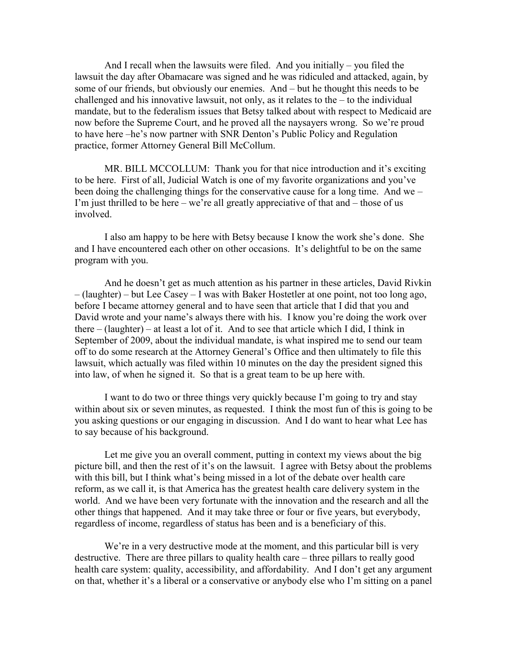And I recall when the lawsuits were filed. And you initially – you filed the lawsuit the day after Obamacare was signed and he was ridiculed and attacked, again, by some of our friends, but obviously our enemies. And – but he thought this needs to be challenged and his innovative lawsuit, not only, as it relates to the  $-$  to the individual mandate, but to the federalism issues that Betsy talked about with respect to Medicaid are now before the Supreme Court, and he proved all the naysayers wrong. So we're proud to have here –he's now partner with SNR Denton's Public Policy and Regulation practice, former Attorney General Bill McCollum.

MR. BILL MCCOLLUM: Thank you for that nice introduction and it's exciting to be here. First of all, Judicial Watch is one of my favorite organizations and you've been doing the challenging things for the conservative cause for a long time. And we – I'm just thrilled to be here – we're all greatly appreciative of that and – those of us involved.

I also am happy to be here with Betsy because I know the work she's done. She and I have encountered each other on other occasions. It's delightful to be on the same program with you.

And he doesn't get as much attention as his partner in these articles, David Rivkin – (laughter) – but Lee Casey – I was with Baker Hostetler at one point, not too long ago, before I became attorney general and to have seen that article that I did that you and David wrote and your name's always there with his. I know you're doing the work over there – (laughter) – at least a lot of it. And to see that article which I did, I think in September of 2009, about the individual mandate, is what inspired me to send our team off to do some research at the Attorney General's Office and then ultimately to file this lawsuit, which actually was filed within 10 minutes on the day the president signed this into law, of when he signed it. So that is a great team to be up here with.

I want to do two or three things very quickly because I'm going to try and stay within about six or seven minutes, as requested. I think the most fun of this is going to be you asking questions or our engaging in discussion. And I do want to hear what Lee has to say because of his background.

Let me give you an overall comment, putting in context my views about the big picture bill, and then the rest of it's on the lawsuit. I agree with Betsy about the problems with this bill, but I think what's being missed in a lot of the debate over health care reform, as we call it, is that America has the greatest health care delivery system in the world. And we have been very fortunate with the innovation and the research and all the other things that happened. And it may take three or four or five years, but everybody, regardless of income, regardless of status has been and is a beneficiary of this.

We're in a very destructive mode at the moment, and this particular bill is very destructive. There are three pillars to quality health care – three pillars to really good health care system: quality, accessibility, and affordability. And I don't get any argument on that, whether it's a liberal or a conservative or anybody else who I'm sitting on a panel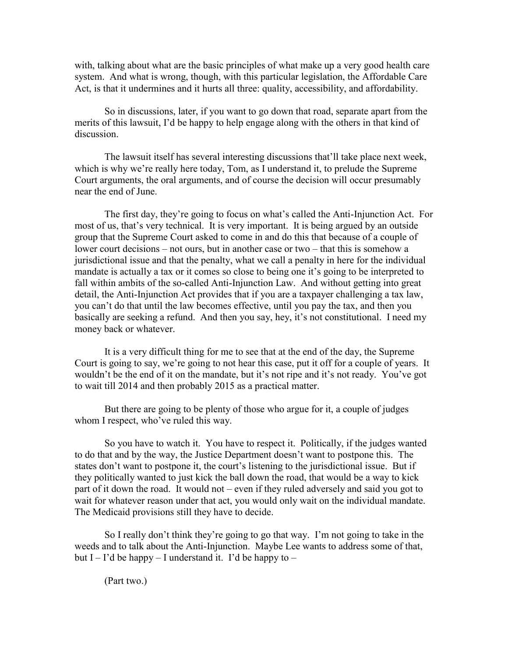with, talking about what are the basic principles of what make up a very good health care system. And what is wrong, though, with this particular legislation, the Affordable Care Act, is that it undermines and it hurts all three: quality, accessibility, and affordability.

So in discussions, later, if you want to go down that road, separate apart from the merits of this lawsuit, I'd be happy to help engage along with the others in that kind of discussion.

The lawsuit itself has several interesting discussions that'll take place next week, which is why we're really here today, Tom, as I understand it, to prelude the Supreme Court arguments, the oral arguments, and of course the decision will occur presumably near the end of June.

The first day, they're going to focus on what's called the Anti-Injunction Act. For most of us, that's very technical. It is very important. It is being argued by an outside group that the Supreme Court asked to come in and do this that because of a couple of lower court decisions – not ours, but in another case or two – that this is somehow a jurisdictional issue and that the penalty, what we call a penalty in here for the individual mandate is actually a tax or it comes so close to being one it's going to be interpreted to fall within ambits of the so-called Anti-Injunction Law. And without getting into great detail, the Anti-Injunction Act provides that if you are a taxpayer challenging a tax law, you can't do that until the law becomes effective, until you pay the tax, and then you basically are seeking a refund. And then you say, hey, it's not constitutional. I need my money back or whatever.

It is a very difficult thing for me to see that at the end of the day, the Supreme Court is going to say, we're going to not hear this case, put it off for a couple of years. It wouldn't be the end of it on the mandate, but it's not ripe and it's not ready. You've got to wait till 2014 and then probably 2015 as a practical matter.

But there are going to be plenty of those who argue for it, a couple of judges whom I respect, who've ruled this way.

So you have to watch it. You have to respect it. Politically, if the judges wanted to do that and by the way, the Justice Department doesn't want to postpone this. The states don't want to postpone it, the court's listening to the jurisdictional issue. But if they politically wanted to just kick the ball down the road, that would be a way to kick part of it down the road. It would not – even if they ruled adversely and said you got to wait for whatever reason under that act, you would only wait on the individual mandate. The Medicaid provisions still they have to decide.

So I really don't think they're going to go that way. I'm not going to take in the weeds and to talk about the Anti-Injunction. Maybe Lee wants to address some of that, but I – I'd be happy – I understand it. I'd be happy to –

(Part two.)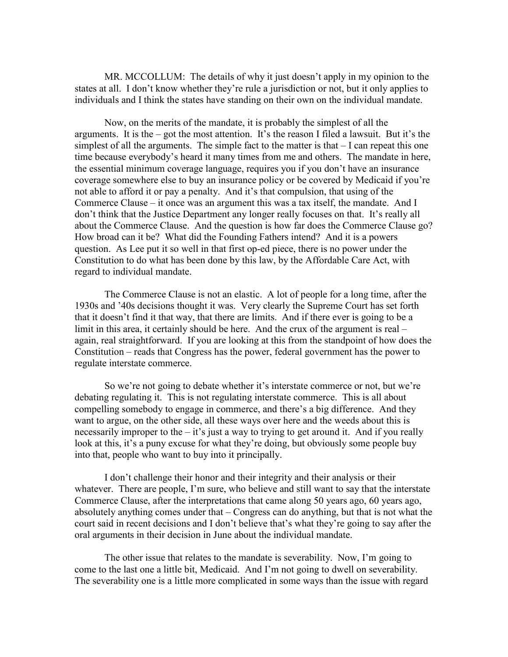MR. MCCOLLUM: The details of why it just doesn't apply in my opinion to the states at all. I don't know whether they're rule a jurisdiction or not, but it only applies to individuals and I think the states have standing on their own on the individual mandate.

Now, on the merits of the mandate, it is probably the simplest of all the arguments. It is the – got the most attention. It's the reason I filed a lawsuit. But it's the simplest of all the arguments. The simple fact to the matter is that – I can repeat this one time because everybody's heard it many times from me and others. The mandate in here, the essential minimum coverage language, requires you if you don't have an insurance coverage somewhere else to buy an insurance policy or be covered by Medicaid if you're not able to afford it or pay a penalty. And it's that compulsion, that using of the Commerce Clause – it once was an argument this was a tax itself, the mandate. And I don't think that the Justice Department any longer really focuses on that. It's really all about the Commerce Clause. And the question is how far does the Commerce Clause go? How broad can it be? What did the Founding Fathers intend? And it is a powers question. As Lee put it so well in that first op-ed piece, there is no power under the Constitution to do what has been done by this law, by the Affordable Care Act, with regard to individual mandate.

The Commerce Clause is not an elastic. A lot of people for a long time, after the 1930s and '40s decisions thought it was. Very clearly the Supreme Court has set forth that it doesn't find it that way, that there are limits. And if there ever is going to be a limit in this area, it certainly should be here. And the crux of the argument is real – again, real straightforward. If you are looking at this from the standpoint of how does the Constitution – reads that Congress has the power, federal government has the power to regulate interstate commerce.

So we're not going to debate whether it's interstate commerce or not, but we're debating regulating it. This is not regulating interstate commerce. This is all about compelling somebody to engage in commerce, and there's a big difference. And they want to argue, on the other side, all these ways over here and the weeds about this is necessarily improper to the  $-$  it's just a way to trying to get around it. And if you really look at this, it's a puny excuse for what they're doing, but obviously some people buy into that, people who want to buy into it principally.

I don't challenge their honor and their integrity and their analysis or their whatever. There are people, I'm sure, who believe and still want to say that the interstate Commerce Clause, after the interpretations that came along 50 years ago, 60 years ago, absolutely anything comes under that – Congress can do anything, but that is not what the court said in recent decisions and I don't believe that's what they're going to say after the oral arguments in their decision in June about the individual mandate.

The other issue that relates to the mandate is severability. Now, I'm going to come to the last one a little bit, Medicaid. And I'm not going to dwell on severability. The severability one is a little more complicated in some ways than the issue with regard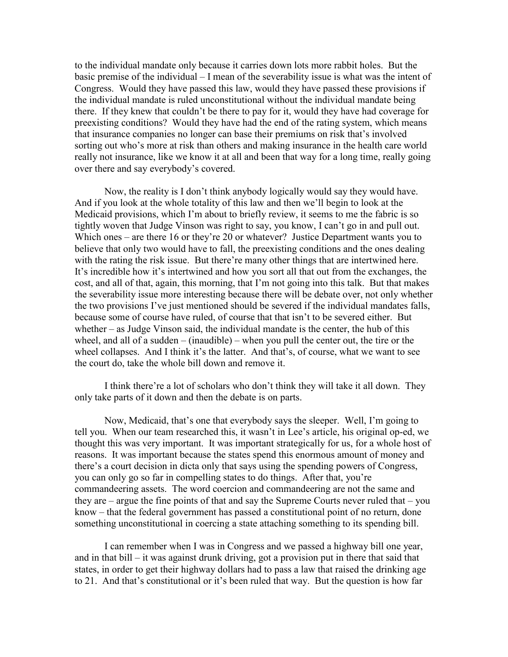to the individual mandate only because it carries down lots more rabbit holes. But the basic premise of the individual – I mean of the severability issue is what was the intent of Congress. Would they have passed this law, would they have passed these provisions if the individual mandate is ruled unconstitutional without the individual mandate being there. If they knew that couldn't be there to pay for it, would they have had coverage for preexisting conditions? Would they have had the end of the rating system, which means that insurance companies no longer can base their premiums on risk that's involved sorting out who's more at risk than others and making insurance in the health care world really not insurance, like we know it at all and been that way for a long time, really going over there and say everybody's covered.

Now, the reality is I don't think anybody logically would say they would have. And if you look at the whole totality of this law and then we'll begin to look at the Medicaid provisions, which I'm about to briefly review, it seems to me the fabric is so tightly woven that Judge Vinson was right to say, you know, I can't go in and pull out. Which ones – are there 16 or they're 20 or whatever? Justice Department wants you to believe that only two would have to fall, the preexisting conditions and the ones dealing with the rating the risk issue. But there're many other things that are intertwined here. It's incredible how it's intertwined and how you sort all that out from the exchanges, the cost, and all of that, again, this morning, that I'm not going into this talk. But that makes the severability issue more interesting because there will be debate over, not only whether the two provisions I've just mentioned should be severed if the individual mandates falls, because some of course have ruled, of course that that isn't to be severed either. But whether – as Judge Vinson said, the individual mandate is the center, the hub of this wheel, and all of a sudden  $-$  (inaudible) – when you pull the center out, the tire or the wheel collapses. And I think it's the latter. And that's, of course, what we want to see the court do, take the whole bill down and remove it.

I think there're a lot of scholars who don't think they will take it all down. They only take parts of it down and then the debate is on parts.

Now, Medicaid, that's one that everybody says the sleeper. Well, I'm going to tell you. When our team researched this, it wasn't in Lee's article, his original op-ed, we thought this was very important. It was important strategically for us, for a whole host of reasons. It was important because the states spend this enormous amount of money and there's a court decision in dicta only that says using the spending powers of Congress, you can only go so far in compelling states to do things. After that, you're commandeering assets. The word coercion and commandeering are not the same and they are – argue the fine points of that and say the Supreme Courts never ruled that – you know – that the federal government has passed a constitutional point of no return, done something unconstitutional in coercing a state attaching something to its spending bill.

I can remember when I was in Congress and we passed a highway bill one year, and in that bill – it was against drunk driving, got a provision put in there that said that states, in order to get their highway dollars had to pass a law that raised the drinking age to 21. And that's constitutional or it's been ruled that way. But the question is how far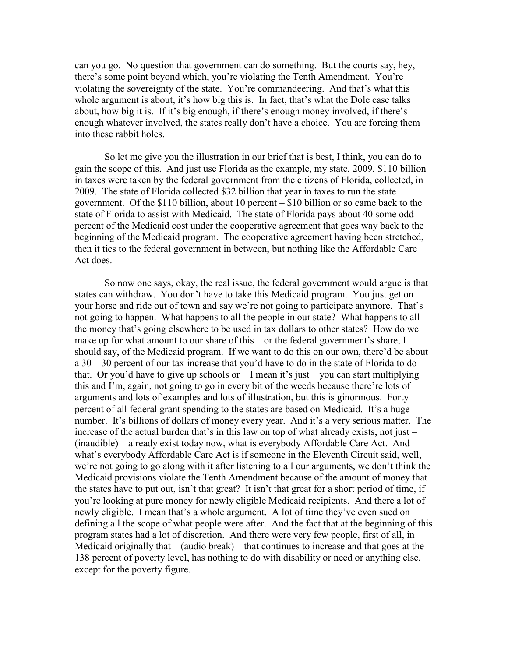can you go. No question that government can do something. But the courts say, hey, there's some point beyond which, you're violating the Tenth Amendment. You're violating the sovereignty of the state. You're commandeering. And that's what this whole argument is about, it's how big this is. In fact, that's what the Dole case talks about, how big it is. If it's big enough, if there's enough money involved, if there's enough whatever involved, the states really don't have a choice. You are forcing them into these rabbit holes.

So let me give you the illustration in our brief that is best, I think, you can do to gain the scope of this. And just use Florida as the example, my state, 2009, \$110 billion in taxes were taken by the federal government from the citizens of Florida, collected, in 2009. The state of Florida collected \$32 billion that year in taxes to run the state government. Of the \$110 billion, about 10 percent – \$10 billion or so came back to the state of Florida to assist with Medicaid. The state of Florida pays about 40 some odd percent of the Medicaid cost under the cooperative agreement that goes way back to the beginning of the Medicaid program. The cooperative agreement having been stretched, then it ties to the federal government in between, but nothing like the Affordable Care Act does.

So now one says, okay, the real issue, the federal government would argue is that states can withdraw. You don't have to take this Medicaid program. You just get on your horse and ride out of town and say we're not going to participate anymore. That's not going to happen. What happens to all the people in our state? What happens to all the money that's going elsewhere to be used in tax dollars to other states? How do we make up for what amount to our share of this – or the federal government's share, I should say, of the Medicaid program. If we want to do this on our own, there'd be about a 30 – 30 percent of our tax increase that you'd have to do in the state of Florida to do that. Or you'd have to give up schools or  $-1$  mean it's just – you can start multiplying this and I'm, again, not going to go in every bit of the weeds because there're lots of arguments and lots of examples and lots of illustration, but this is ginormous. Forty percent of all federal grant spending to the states are based on Medicaid. It's a huge number. It's billions of dollars of money every year. And it's a very serious matter. The increase of the actual burden that's in this law on top of what already exists, not just – (inaudible) – already exist today now, what is everybody Affordable Care Act. And what's everybody Affordable Care Act is if someone in the Eleventh Circuit said, well, we're not going to go along with it after listening to all our arguments, we don't think the Medicaid provisions violate the Tenth Amendment because of the amount of money that the states have to put out, isn't that great? It isn't that great for a short period of time, if you're looking at pure money for newly eligible Medicaid recipients. And there a lot of newly eligible. I mean that's a whole argument. A lot of time they've even sued on defining all the scope of what people were after. And the fact that at the beginning of this program states had a lot of discretion. And there were very few people, first of all, in Medicaid originally that – (audio break) – that continues to increase and that goes at the 138 percent of poverty level, has nothing to do with disability or need or anything else, except for the poverty figure.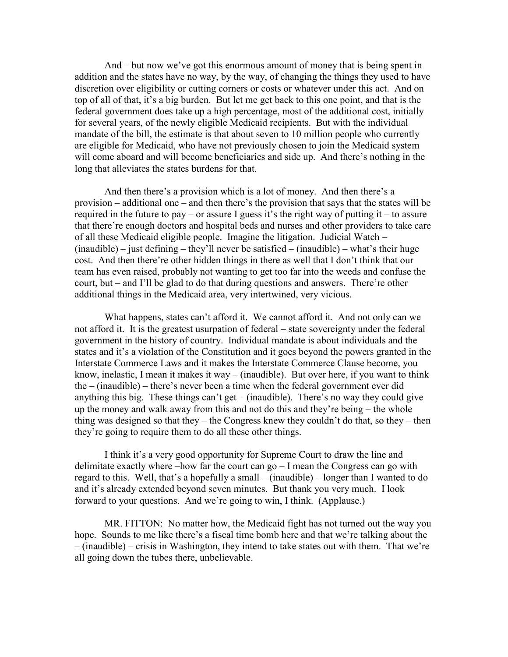And – but now we've got this enormous amount of money that is being spent in addition and the states have no way, by the way, of changing the things they used to have discretion over eligibility or cutting corners or costs or whatever under this act. And on top of all of that, it's a big burden. But let me get back to this one point, and that is the federal government does take up a high percentage, most of the additional cost, initially for several years, of the newly eligible Medicaid recipients. But with the individual mandate of the bill, the estimate is that about seven to 10 million people who currently are eligible for Medicaid, who have not previously chosen to join the Medicaid system will come aboard and will become beneficiaries and side up. And there's nothing in the long that alleviates the states burdens for that.

And then there's a provision which is a lot of money. And then there's a provision – additional one – and then there's the provision that says that the states will be required in the future to pay – or assure I guess it's the right way of putting it – to assure that there're enough doctors and hospital beds and nurses and other providers to take care of all these Medicaid eligible people. Imagine the litigation. Judicial Watch –  $(inaudible) - just defining - they'll never be satisfied - (inaudible) - what's their huge$ cost. And then there're other hidden things in there as well that I don't think that our team has even raised, probably not wanting to get too far into the weeds and confuse the court, but – and I'll be glad to do that during questions and answers. There're other additional things in the Medicaid area, very intertwined, very vicious.

What happens, states can't afford it. We cannot afford it. And not only can we not afford it. It is the greatest usurpation of federal – state sovereignty under the federal government in the history of country. Individual mandate is about individuals and the states and it's a violation of the Constitution and it goes beyond the powers granted in the Interstate Commerce Laws and it makes the Interstate Commerce Clause become, you know, inelastic, I mean it makes it way – (inaudible). But over here, if you want to think the – (inaudible) – there's never been a time when the federal government ever did anything this big. These things can't get – (inaudible). There's no way they could give up the money and walk away from this and not do this and they're being – the whole thing was designed so that they – the Congress knew they couldn't do that, so they – then they're going to require them to do all these other things.

I think it's a very good opportunity for Supreme Court to draw the line and delimitate exactly where –how far the court can go – I mean the Congress can go with regard to this. Well, that's a hopefully a small – (inaudible) – longer than I wanted to do and it's already extended beyond seven minutes. But thank you very much. I look forward to your questions. And we're going to win, I think. (Applause.)

MR. FITTON: No matter how, the Medicaid fight has not turned out the way you hope. Sounds to me like there's a fiscal time bomb here and that we're talking about the – (inaudible) – crisis in Washington, they intend to take states out with them. That we're all going down the tubes there, unbelievable.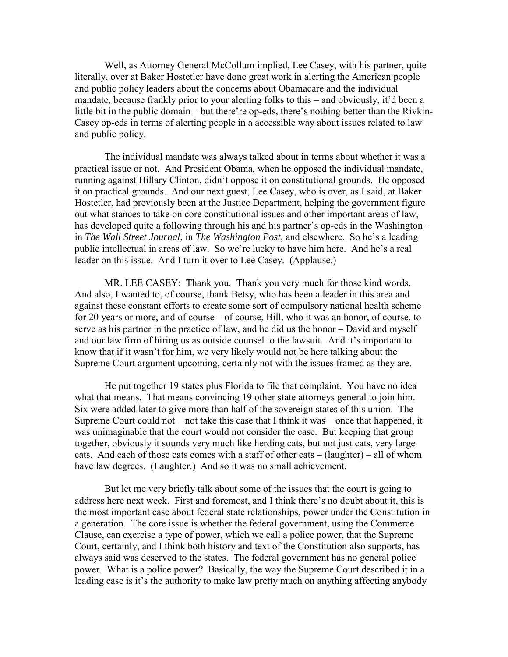Well, as Attorney General McCollum implied, Lee Casey, with his partner, quite literally, over at Baker Hostetler have done great work in alerting the American people and public policy leaders about the concerns about Obamacare and the individual mandate, because frankly prior to your alerting folks to this – and obviously, it'd been a little bit in the public domain – but there're op-eds, there's nothing better than the Rivkin-Casey op-eds in terms of alerting people in a accessible way about issues related to law and public policy.

The individual mandate was always talked about in terms about whether it was a practical issue or not. And President Obama, when he opposed the individual mandate, running against Hillary Clinton, didn't oppose it on constitutional grounds. He opposed it on practical grounds. And our next guest, Lee Casey, who is over, as I said, at Baker Hostetler, had previously been at the Justice Department, helping the government figure out what stances to take on core constitutional issues and other important areas of law, has developed quite a following through his and his partner's op-eds in the Washington – in *The Wall Street Journal*, in *The Washington Post*, and elsewhere. So he's a leading public intellectual in areas of law. So we're lucky to have him here. And he's a real leader on this issue. And I turn it over to Lee Casey. (Applause.)

MR. LEE CASEY: Thank you. Thank you very much for those kind words. And also, I wanted to, of course, thank Betsy, who has been a leader in this area and against these constant efforts to create some sort of compulsory national health scheme for 20 years or more, and of course – of course, Bill, who it was an honor, of course, to serve as his partner in the practice of law, and he did us the honor – David and myself and our law firm of hiring us as outside counsel to the lawsuit. And it's important to know that if it wasn't for him, we very likely would not be here talking about the Supreme Court argument upcoming, certainly not with the issues framed as they are.

He put together 19 states plus Florida to file that complaint. You have no idea what that means. That means convincing 19 other state attorneys general to join him. Six were added later to give more than half of the sovereign states of this union. The Supreme Court could not – not take this case that I think it was – once that happened, it was unimaginable that the court would not consider the case. But keeping that group together, obviously it sounds very much like herding cats, but not just cats, very large cats. And each of those cats comes with a staff of other cats – (laughter) – all of whom have law degrees. (Laughter.) And so it was no small achievement.

But let me very briefly talk about some of the issues that the court is going to address here next week. First and foremost, and I think there's no doubt about it, this is the most important case about federal state relationships, power under the Constitution in a generation. The core issue is whether the federal government, using the Commerce Clause, can exercise a type of power, which we call a police power, that the Supreme Court, certainly, and I think both history and text of the Constitution also supports, has always said was deserved to the states. The federal government has no general police power. What is a police power? Basically, the way the Supreme Court described it in a leading case is it's the authority to make law pretty much on anything affecting anybody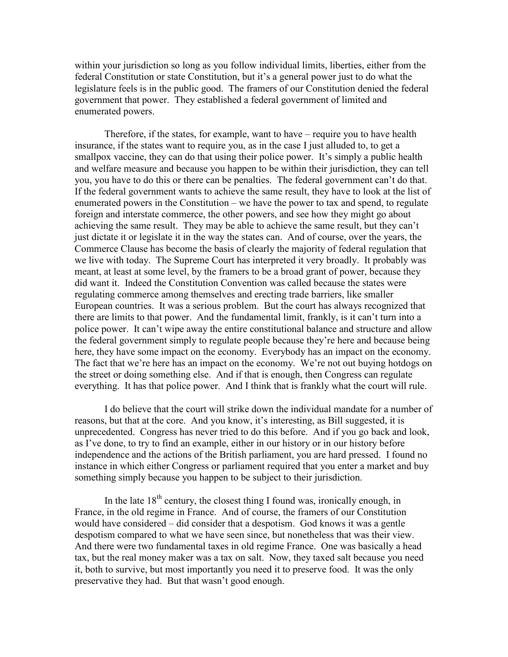within your jurisdiction so long as you follow individual limits, liberties, either from the federal Constitution or state Constitution, but it's a general power just to do what the legislature feels is in the public good. The framers of our Constitution denied the federal government that power. They established a federal government of limited and enumerated powers.

Therefore, if the states, for example, want to have – require you to have health insurance, if the states want to require you, as in the case I just alluded to, to get a smallpox vaccine, they can do that using their police power. It's simply a public health and welfare measure and because you happen to be within their jurisdiction, they can tell you, you have to do this or there can be penalties. The federal government can't do that. If the federal government wants to achieve the same result, they have to look at the list of enumerated powers in the Constitution – we have the power to tax and spend, to regulate foreign and interstate commerce, the other powers, and see how they might go about achieving the same result. They may be able to achieve the same result, but they can't just dictate it or legislate it in the way the states can. And of course, over the years, the Commerce Clause has become the basis of clearly the majority of federal regulation that we live with today. The Supreme Court has interpreted it very broadly. It probably was meant, at least at some level, by the framers to be a broad grant of power, because they did want it. Indeed the Constitution Convention was called because the states were regulating commerce among themselves and erecting trade barriers, like smaller European countries. It was a serious problem. But the court has always recognized that there are limits to that power. And the fundamental limit, frankly, is it can't turn into a police power. It can't wipe away the entire constitutional balance and structure and allow the federal government simply to regulate people because they're here and because being here, they have some impact on the economy. Everybody has an impact on the economy. The fact that we're here has an impact on the economy. We're not out buying hotdogs on the street or doing something else. And if that is enough, then Congress can regulate everything. It has that police power. And I think that is frankly what the court will rule.

I do believe that the court will strike down the individual mandate for a number of reasons, but that at the core. And you know, it's interesting, as Bill suggested, it is unprecedented. Congress has never tried to do this before. And if you go back and look, as I've done, to try to find an example, either in our history or in our history before independence and the actions of the British parliament, you are hard pressed. I found no instance in which either Congress or parliament required that you enter a market and buy something simply because you happen to be subject to their jurisdiction.

In the late  $18<sup>th</sup>$  century, the closest thing I found was, ironically enough, in France, in the old regime in France. And of course, the framers of our Constitution would have considered – did consider that a despotism. God knows it was a gentle despotism compared to what we have seen since, but nonetheless that was their view. And there were two fundamental taxes in old regime France. One was basically a head tax, but the real money maker was a tax on salt. Now, they taxed salt because you need it, both to survive, but most importantly you need it to preserve food. It was the only preservative they had. But that wasn't good enough.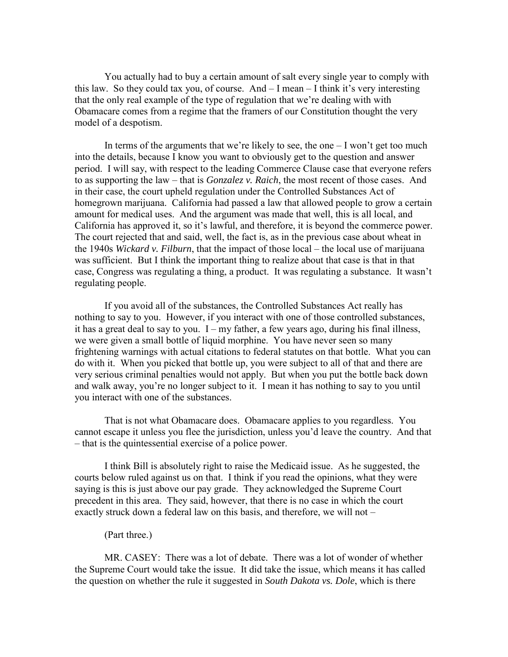You actually had to buy a certain amount of salt every single year to comply with this law. So they could tax you, of course. And – I mean – I think it's very interesting that the only real example of the type of regulation that we're dealing with with Obamacare comes from a regime that the framers of our Constitution thought the very model of a despotism.

In terms of the arguments that we're likely to see, the one  $-I$  won't get too much into the details, because I know you want to obviously get to the question and answer period. I will say, with respect to the leading Commerce Clause case that everyone refers to as supporting the law – that is *Gonzalez v. Raich*, the most recent of those cases. And in their case, the court upheld regulation under the Controlled Substances Act of homegrown marijuana. California had passed a law that allowed people to grow a certain amount for medical uses. And the argument was made that well, this is all local, and California has approved it, so it's lawful, and therefore, it is beyond the commerce power. The court rejected that and said, well, the fact is, as in the previous case about wheat in the 1940s *Wickard v. Filburn*, that the impact of those local – the local use of marijuana was sufficient. But I think the important thing to realize about that case is that in that case, Congress was regulating a thing, a product. It was regulating a substance. It wasn't regulating people.

If you avoid all of the substances, the Controlled Substances Act really has nothing to say to you. However, if you interact with one of those controlled substances, it has a great deal to say to you.  $I - my$  father, a few years ago, during his final illness, we were given a small bottle of liquid morphine. You have never seen so many frightening warnings with actual citations to federal statutes on that bottle. What you can do with it. When you picked that bottle up, you were subject to all of that and there are very serious criminal penalties would not apply. But when you put the bottle back down and walk away, you're no longer subject to it. I mean it has nothing to say to you until you interact with one of the substances.

That is not what Obamacare does. Obamacare applies to you regardless. You cannot escape it unless you flee the jurisdiction, unless you'd leave the country. And that – that is the quintessential exercise of a police power.

I think Bill is absolutely right to raise the Medicaid issue. As he suggested, the courts below ruled against us on that. I think if you read the opinions, what they were saying is this is just above our pay grade. They acknowledged the Supreme Court precedent in this area. They said, however, that there is no case in which the court exactly struck down a federal law on this basis, and therefore, we will not –

#### (Part three.)

MR. CASEY: There was a lot of debate. There was a lot of wonder of whether the Supreme Court would take the issue. It did take the issue, which means it has called the question on whether the rule it suggested in *South Dakota vs. Dole*, which is there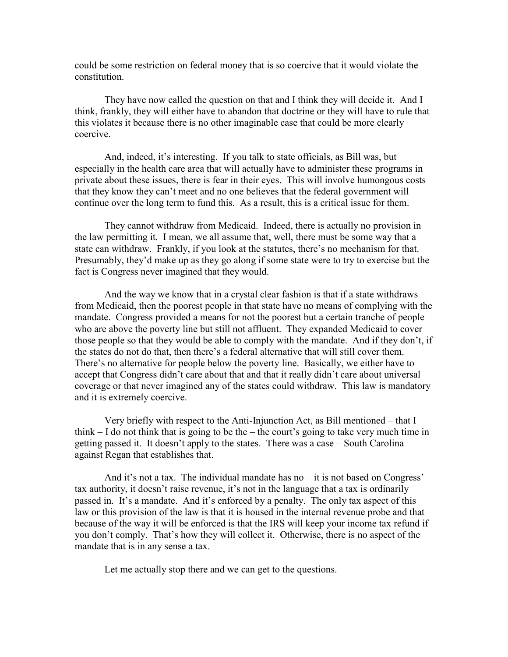could be some restriction on federal money that is so coercive that it would violate the constitution.

They have now called the question on that and I think they will decide it. And I think, frankly, they will either have to abandon that doctrine or they will have to rule that this violates it because there is no other imaginable case that could be more clearly coercive.

And, indeed, it's interesting. If you talk to state officials, as Bill was, but especially in the health care area that will actually have to administer these programs in private about these issues, there is fear in their eyes. This will involve humongous costs that they know they can't meet and no one believes that the federal government will continue over the long term to fund this. As a result, this is a critical issue for them.

They cannot withdraw from Medicaid. Indeed, there is actually no provision in the law permitting it. I mean, we all assume that, well, there must be some way that a state can withdraw. Frankly, if you look at the statutes, there's no mechanism for that. Presumably, they'd make up as they go along if some state were to try to exercise but the fact is Congress never imagined that they would.

And the way we know that in a crystal clear fashion is that if a state withdraws from Medicaid, then the poorest people in that state have no means of complying with the mandate. Congress provided a means for not the poorest but a certain tranche of people who are above the poverty line but still not affluent. They expanded Medicaid to cover those people so that they would be able to comply with the mandate. And if they don't, if the states do not do that, then there's a federal alternative that will still cover them. There's no alternative for people below the poverty line. Basically, we either have to accept that Congress didn't care about that and that it really didn't care about universal coverage or that never imagined any of the states could withdraw. This law is mandatory and it is extremely coercive.

Very briefly with respect to the Anti-Injunction Act, as Bill mentioned – that I think – I do not think that is going to be the – the court's going to take very much time in getting passed it. It doesn't apply to the states. There was a case – South Carolina against Regan that establishes that.

And it's not a tax. The individual mandate has no – it is not based on Congress' tax authority, it doesn't raise revenue, it's not in the language that a tax is ordinarily passed in. It's a mandate. And it's enforced by a penalty. The only tax aspect of this law or this provision of the law is that it is housed in the internal revenue probe and that because of the way it will be enforced is that the IRS will keep your income tax refund if you don't comply. That's how they will collect it. Otherwise, there is no aspect of the mandate that is in any sense a tax.

Let me actually stop there and we can get to the questions.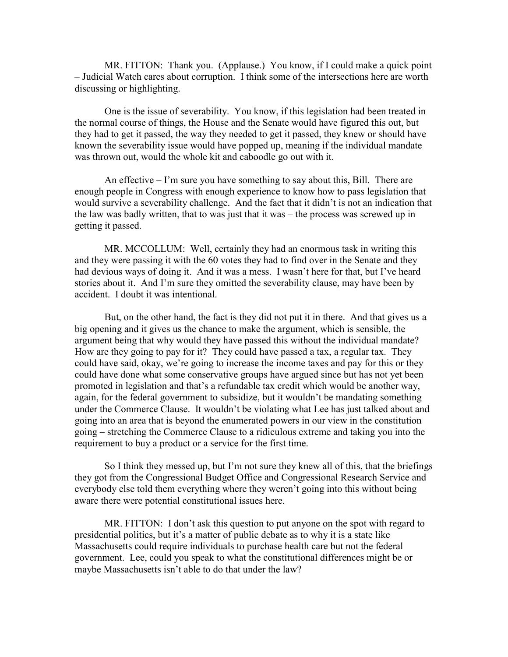MR. FITTON: Thank you. (Applause.) You know, if I could make a quick point – Judicial Watch cares about corruption. I think some of the intersections here are worth discussing or highlighting.

One is the issue of severability. You know, if this legislation had been treated in the normal course of things, the House and the Senate would have figured this out, but they had to get it passed, the way they needed to get it passed, they knew or should have known the severability issue would have popped up, meaning if the individual mandate was thrown out, would the whole kit and caboodle go out with it.

An effective – I'm sure you have something to say about this, Bill. There are enough people in Congress with enough experience to know how to pass legislation that would survive a severability challenge. And the fact that it didn't is not an indication that the law was badly written, that to was just that it was – the process was screwed up in getting it passed.

MR. MCCOLLUM: Well, certainly they had an enormous task in writing this and they were passing it with the 60 votes they had to find over in the Senate and they had devious ways of doing it. And it was a mess. I wasn't here for that, but I've heard stories about it. And I'm sure they omitted the severability clause, may have been by accident. I doubt it was intentional.

But, on the other hand, the fact is they did not put it in there. And that gives us a big opening and it gives us the chance to make the argument, which is sensible, the argument being that why would they have passed this without the individual mandate? How are they going to pay for it? They could have passed a tax, a regular tax. They could have said, okay, we're going to increase the income taxes and pay for this or they could have done what some conservative groups have argued since but has not yet been promoted in legislation and that's a refundable tax credit which would be another way, again, for the federal government to subsidize, but it wouldn't be mandating something under the Commerce Clause. It wouldn't be violating what Lee has just talked about and going into an area that is beyond the enumerated powers in our view in the constitution going – stretching the Commerce Clause to a ridiculous extreme and taking you into the requirement to buy a product or a service for the first time.

So I think they messed up, but I'm not sure they knew all of this, that the briefings they got from the Congressional Budget Office and Congressional Research Service and everybody else told them everything where they weren't going into this without being aware there were potential constitutional issues here.

MR. FITTON: I don't ask this question to put anyone on the spot with regard to presidential politics, but it's a matter of public debate as to why it is a state like Massachusetts could require individuals to purchase health care but not the federal government. Lee, could you speak to what the constitutional differences might be or maybe Massachusetts isn't able to do that under the law?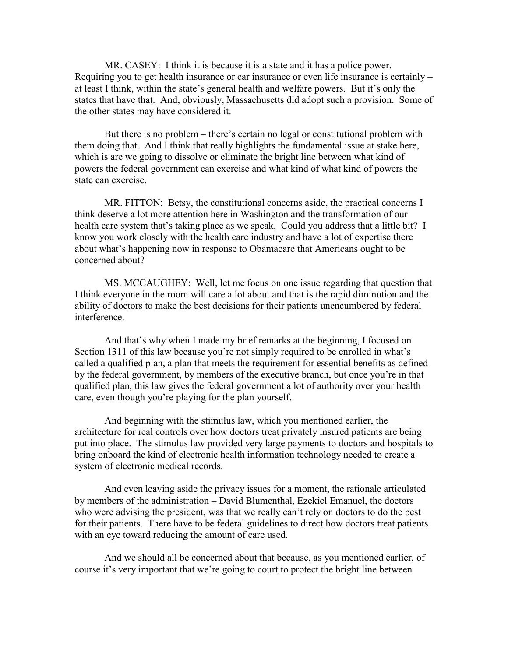MR. CASEY: I think it is because it is a state and it has a police power. Requiring you to get health insurance or car insurance or even life insurance is certainly – at least I think, within the state's general health and welfare powers. But it's only the states that have that. And, obviously, Massachusetts did adopt such a provision. Some of the other states may have considered it.

But there is no problem – there's certain no legal or constitutional problem with them doing that. And I think that really highlights the fundamental issue at stake here, which is are we going to dissolve or eliminate the bright line between what kind of powers the federal government can exercise and what kind of what kind of powers the state can exercise.

MR. FITTON: Betsy, the constitutional concerns aside, the practical concerns I think deserve a lot more attention here in Washington and the transformation of our health care system that's taking place as we speak. Could you address that a little bit? I know you work closely with the health care industry and have a lot of expertise there about what's happening now in response to Obamacare that Americans ought to be concerned about?

MS. MCCAUGHEY: Well, let me focus on one issue regarding that question that I think everyone in the room will care a lot about and that is the rapid diminution and the ability of doctors to make the best decisions for their patients unencumbered by federal interference.

And that's why when I made my brief remarks at the beginning, I focused on Section 1311 of this law because you're not simply required to be enrolled in what's called a qualified plan, a plan that meets the requirement for essential benefits as defined by the federal government, by members of the executive branch, but once you're in that qualified plan, this law gives the federal government a lot of authority over your health care, even though you're playing for the plan yourself.

And beginning with the stimulus law, which you mentioned earlier, the architecture for real controls over how doctors treat privately insured patients are being put into place. The stimulus law provided very large payments to doctors and hospitals to bring onboard the kind of electronic health information technology needed to create a system of electronic medical records.

And even leaving aside the privacy issues for a moment, the rationale articulated by members of the administration – David Blumenthal, Ezekiel Emanuel, the doctors who were advising the president, was that we really can't rely on doctors to do the best for their patients. There have to be federal guidelines to direct how doctors treat patients with an eye toward reducing the amount of care used.

And we should all be concerned about that because, as you mentioned earlier, of course it's very important that we're going to court to protect the bright line between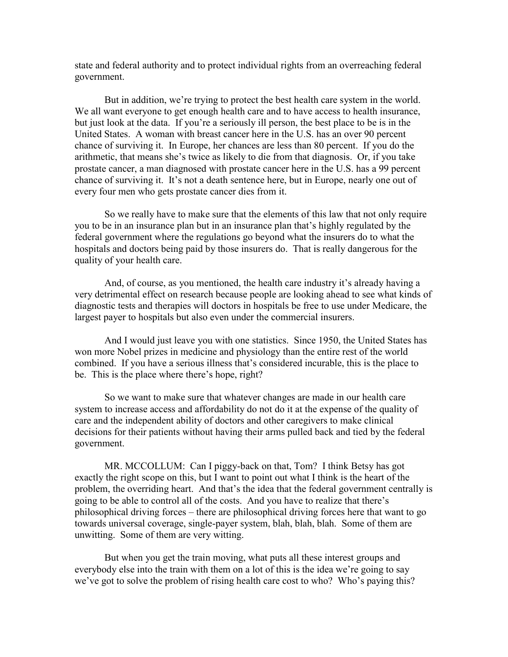state and federal authority and to protect individual rights from an overreaching federal government.

But in addition, we're trying to protect the best health care system in the world. We all want everyone to get enough health care and to have access to health insurance, but just look at the data. If you're a seriously ill person, the best place to be is in the United States. A woman with breast cancer here in the U.S. has an over 90 percent chance of surviving it. In Europe, her chances are less than 80 percent. If you do the arithmetic, that means she's twice as likely to die from that diagnosis. Or, if you take prostate cancer, a man diagnosed with prostate cancer here in the U.S. has a 99 percent chance of surviving it. It's not a death sentence here, but in Europe, nearly one out of every four men who gets prostate cancer dies from it.

So we really have to make sure that the elements of this law that not only require you to be in an insurance plan but in an insurance plan that's highly regulated by the federal government where the regulations go beyond what the insurers do to what the hospitals and doctors being paid by those insurers do. That is really dangerous for the quality of your health care.

And, of course, as you mentioned, the health care industry it's already having a very detrimental effect on research because people are looking ahead to see what kinds of diagnostic tests and therapies will doctors in hospitals be free to use under Medicare, the largest payer to hospitals but also even under the commercial insurers.

And I would just leave you with one statistics. Since 1950, the United States has won more Nobel prizes in medicine and physiology than the entire rest of the world combined. If you have a serious illness that's considered incurable, this is the place to be. This is the place where there's hope, right?

So we want to make sure that whatever changes are made in our health care system to increase access and affordability do not do it at the expense of the quality of care and the independent ability of doctors and other caregivers to make clinical decisions for their patients without having their arms pulled back and tied by the federal government.

MR. MCCOLLUM: Can I piggy-back on that, Tom? I think Betsy has got exactly the right scope on this, but I want to point out what I think is the heart of the problem, the overriding heart. And that's the idea that the federal government centrally is going to be able to control all of the costs. And you have to realize that there's philosophical driving forces – there are philosophical driving forces here that want to go towards universal coverage, single-payer system, blah, blah, blah. Some of them are unwitting. Some of them are very witting.

But when you get the train moving, what puts all these interest groups and everybody else into the train with them on a lot of this is the idea we're going to say we've got to solve the problem of rising health care cost to who? Who's paying this?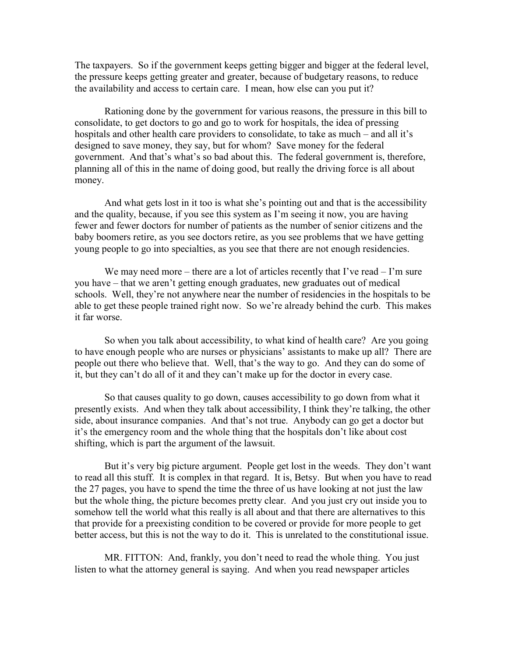The taxpayers. So if the government keeps getting bigger and bigger at the federal level, the pressure keeps getting greater and greater, because of budgetary reasons, to reduce the availability and access to certain care. I mean, how else can you put it?

Rationing done by the government for various reasons, the pressure in this bill to consolidate, to get doctors to go and go to work for hospitals, the idea of pressing hospitals and other health care providers to consolidate, to take as much – and all it's designed to save money, they say, but for whom? Save money for the federal government. And that's what's so bad about this. The federal government is, therefore, planning all of this in the name of doing good, but really the driving force is all about money.

And what gets lost in it too is what she's pointing out and that is the accessibility and the quality, because, if you see this system as I'm seeing it now, you are having fewer and fewer doctors for number of patients as the number of senior citizens and the baby boomers retire, as you see doctors retire, as you see problems that we have getting young people to go into specialties, as you see that there are not enough residencies.

We may need more – there are a lot of articles recently that I've read  $-1$ 'm sure you have – that we aren't getting enough graduates, new graduates out of medical schools. Well, they're not anywhere near the number of residencies in the hospitals to be able to get these people trained right now. So we're already behind the curb. This makes it far worse.

So when you talk about accessibility, to what kind of health care? Are you going to have enough people who are nurses or physicians' assistants to make up all? There are people out there who believe that. Well, that's the way to go. And they can do some of it, but they can't do all of it and they can't make up for the doctor in every case.

So that causes quality to go down, causes accessibility to go down from what it presently exists. And when they talk about accessibility, I think they're talking, the other side, about insurance companies. And that's not true. Anybody can go get a doctor but it's the emergency room and the whole thing that the hospitals don't like about cost shifting, which is part the argument of the lawsuit.

But it's very big picture argument. People get lost in the weeds. They don't want to read all this stuff. It is complex in that regard. It is, Betsy. But when you have to read the 27 pages, you have to spend the time the three of us have looking at not just the law but the whole thing, the picture becomes pretty clear. And you just cry out inside you to somehow tell the world what this really is all about and that there are alternatives to this that provide for a preexisting condition to be covered or provide for more people to get better access, but this is not the way to do it. This is unrelated to the constitutional issue.

MR. FITTON: And, frankly, you don't need to read the whole thing. You just listen to what the attorney general is saying. And when you read newspaper articles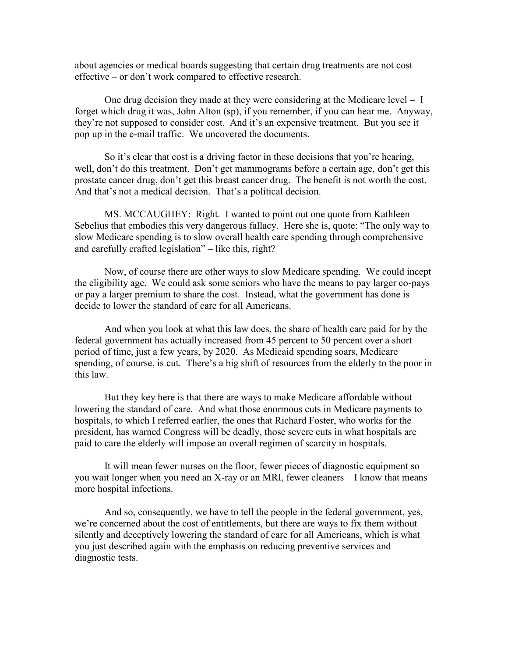about agencies or medical boards suggesting that certain drug treatments are not cost effective – or don't work compared to effective research.

One drug decision they made at they were considering at the Medicare level – I forget which drug it was, John Alton (sp), if you remember, if you can hear me. Anyway, they're not supposed to consider cost. And it's an expensive treatment. But you see it pop up in the e-mail traffic. We uncovered the documents.

So it's clear that cost is a driving factor in these decisions that you're hearing, well, don't do this treatment. Don't get mammograms before a certain age, don't get this prostate cancer drug, don't get this breast cancer drug. The benefit is not worth the cost. And that's not a medical decision. That's a political decision.

MS. MCCAUGHEY: Right. I wanted to point out one quote from Kathleen Sebelius that embodies this very dangerous fallacy. Here she is, quote: "The only way to slow Medicare spending is to slow overall health care spending through comprehensive and carefully crafted legislation" – like this, right?

Now, of course there are other ways to slow Medicare spending. We could incept the eligibility age. We could ask some seniors who have the means to pay larger co-pays or pay a larger premium to share the cost. Instead, what the government has done is decide to lower the standard of care for all Americans.

And when you look at what this law does, the share of health care paid for by the federal government has actually increased from 45 percent to 50 percent over a short period of time, just a few years, by 2020. As Medicaid spending soars, Medicare spending, of course, is cut. There's a big shift of resources from the elderly to the poor in this law.

But they key here is that there are ways to make Medicare affordable without lowering the standard of care. And what those enormous cuts in Medicare payments to hospitals, to which I referred earlier, the ones that Richard Foster, who works for the president, has warned Congress will be deadly, those severe cuts in what hospitals are paid to care the elderly will impose an overall regimen of scarcity in hospitals.

It will mean fewer nurses on the floor, fewer pieces of diagnostic equipment so you wait longer when you need an X-ray or an MRI, fewer cleaners – I know that means more hospital infections.

And so, consequently, we have to tell the people in the federal government, yes, we're concerned about the cost of entitlements, but there are ways to fix them without silently and deceptively lowering the standard of care for all Americans, which is what you just described again with the emphasis on reducing preventive services and diagnostic tests.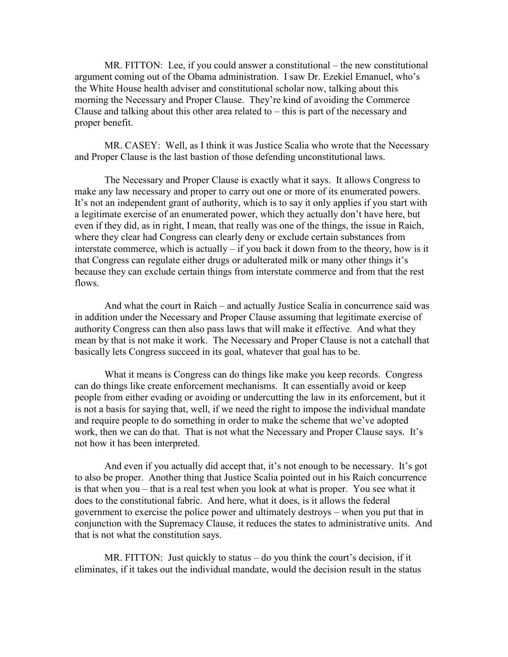MR. FITTON: Lee, if you could answer a constitutional – the new constitutional argument coming out of the Obama administration. I saw Dr. Ezekiel Emanuel, who's the White House health adviser and constitutional scholar now, talking about this morning the Necessary and Proper Clause. They're kind of avoiding the Commerce Clause and talking about this other area related to  $-$  this is part of the necessary and proper benefit.

MR. CASEY: Well, as I think it was Justice Scalia who wrote that the Necessary and Proper Clause is the last bastion of those defending unconstitutional laws.

The Necessary and Proper Clause is exactly what it says. It allows Congress to make any law necessary and proper to carry out one or more of its enumerated powers. It's not an independent grant of authority, which is to say it only applies if you start with a legitimate exercise of an enumerated power, which they actually don't have here, but even if they did, as in right, I mean, that really was one of the things, the issue in Raich, where they clear had Congress can clearly deny or exclude certain substances from interstate commerce, which is actually – if you back it down from to the theory, how is it that Congress can regulate either drugs or adulterated milk or many other things it's because they can exclude certain things from interstate commerce and from that the rest flows.

And what the court in Raich – and actually Justice Scalia in concurrence said was in addition under the Necessary and Proper Clause assuming that legitimate exercise of authority Congress can then also pass laws that will make it effective. And what they mean by that is not make it work. The Necessary and Proper Clause is not a catchall that basically lets Congress succeed in its goal, whatever that goal has to be.

What it means is Congress can do things like make you keep records. Congress can do things like create enforcement mechanisms. It can essentially avoid or keep people from either evading or avoiding or undercutting the law in its enforcement, but it is not a basis for saying that, well, if we need the right to impose the individual mandate and require people to do something in order to make the scheme that we've adopted work, then we can do that. That is not what the Necessary and Proper Clause says. It's not how it has been interpreted.

And even if you actually did accept that, it's not enough to be necessary. It's got to also be proper. Another thing that Justice Scalia pointed out in his Raich concurrence is that when you – that is a real test when you look at what is proper. You see what it does to the constitutional fabric. And here, what it does, is it allows the federal government to exercise the police power and ultimately destroys – when you put that in conjunction with the Supremacy Clause, it reduces the states to administrative units. And that is not what the constitution says.

MR. FITTON: Just quickly to status – do you think the court's decision, if it eliminates, if it takes out the individual mandate, would the decision result in the status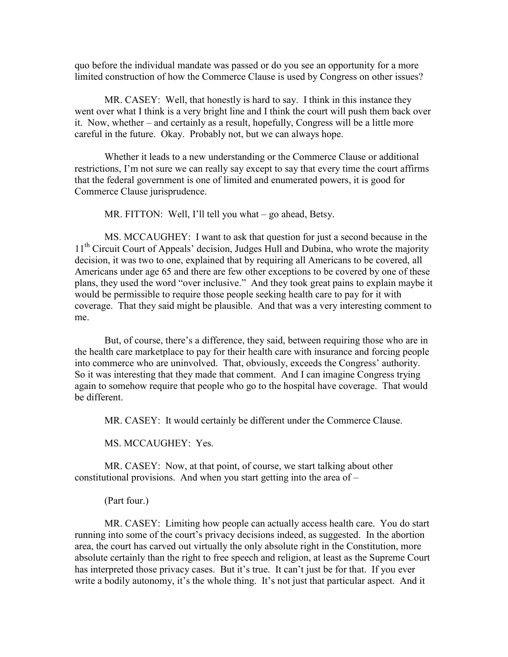quo before the individual mandate was passed or do you see an opportunity for a more limited construction of how the Commerce Clause is used by Congress on other issues?

MR. CASEY: Well, that honestly is hard to say. I think in this instance they went over what I think is a very bright line and I think the court will push them back over it. Now, whether – and certainly as a result, hopefully, Congress will be a little more careful in the future. Okay. Probably not, but we can always hope.

Whether it leads to a new understanding or the Commerce Clause or additional restrictions, I'm not sure we can really say except to say that every time the court affirms that the federal government is one of limited and enumerated powers, it is good for Commerce Clause jurisprudence.

MR. FITTON: Well, I'll tell you what – go ahead, Betsy.

MS. MCCAUGHEY: I want to ask that question for just a second because in the 11<sup>th</sup> Circuit Court of Appeals' decision, Judges Hull and Dubina, who wrote the majority decision, it was two to one, explained that by requiring all Americans to be covered, all Americans under age 65 and there are few other exceptions to be covered by one of these plans, they used the word "over inclusive." And they took great pains to explain maybe it would be permissible to require those people seeking health care to pay for it with coverage. That they said might be plausible. And that was a very interesting comment to me.

But, of course, there's a difference, they said, between requiring those who are in the health care marketplace to pay for their health care with insurance and forcing people into commerce who are uninvolved. That, obviously, exceeds the Congress' authority. So it was interesting that they made that comment. And I can imagine Congress trying again to somehow require that people who go to the hospital have coverage. That would be different.

MR. CASEY: It would certainly be different under the Commerce Clause.

MS. MCCAUGHEY: Yes.

MR. CASEY: Now, at that point, of course, we start talking about other constitutional provisions. And when you start getting into the area of –

(Part four.)

MR. CASEY: Limiting how people can actually access health care. You do start running into some of the court's privacy decisions indeed, as suggested. In the abortion area, the court has carved out virtually the only absolute right in the Constitution, more absolute certainly than the right to free speech and religion, at least as the Supreme Court has interpreted those privacy cases. But it's true. It can't just be for that. If you ever write a bodily autonomy, it's the whole thing. It's not just that particular aspect. And it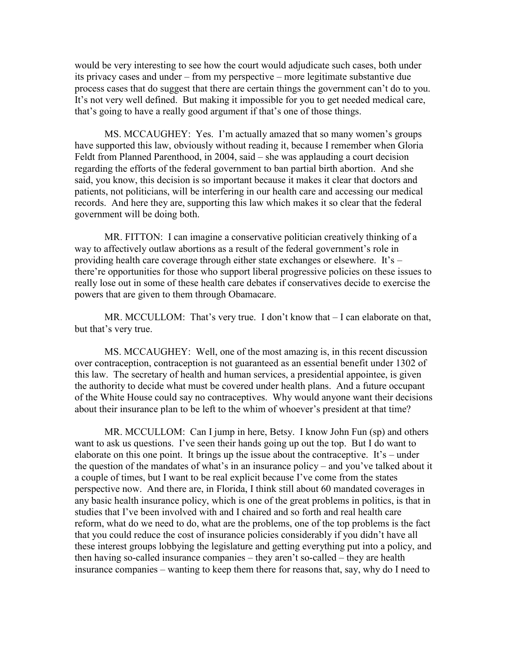would be very interesting to see how the court would adjudicate such cases, both under its privacy cases and under – from my perspective – more legitimate substantive due process cases that do suggest that there are certain things the government can't do to you. It's not very well defined. But making it impossible for you to get needed medical care, that's going to have a really good argument if that's one of those things.

MS. MCCAUGHEY: Yes. I'm actually amazed that so many women's groups have supported this law, obviously without reading it, because I remember when Gloria Feldt from Planned Parenthood, in 2004, said – she was applauding a court decision regarding the efforts of the federal government to ban partial birth abortion. And she said, you know, this decision is so important because it makes it clear that doctors and patients, not politicians, will be interfering in our health care and accessing our medical records. And here they are, supporting this law which makes it so clear that the federal government will be doing both.

MR. FITTON: I can imagine a conservative politician creatively thinking of a way to affectively outlaw abortions as a result of the federal government's role in providing health care coverage through either state exchanges or elsewhere. It's – there're opportunities for those who support liberal progressive policies on these issues to really lose out in some of these health care debates if conservatives decide to exercise the powers that are given to them through Obamacare.

MR. MCCULLOM: That's very true. I don't know that  $-I$  can elaborate on that, but that's very true.

MS. MCCAUGHEY: Well, one of the most amazing is, in this recent discussion over contraception, contraception is not guaranteed as an essential benefit under 1302 of this law. The secretary of health and human services, a presidential appointee, is given the authority to decide what must be covered under health plans. And a future occupant of the White House could say no contraceptives. Why would anyone want their decisions about their insurance plan to be left to the whim of whoever's president at that time?

MR. MCCULLOM: Can I jump in here, Betsy. I know John Fun (sp) and others want to ask us questions. I've seen their hands going up out the top. But I do want to elaborate on this one point. It brings up the issue about the contraceptive. It's – under the question of the mandates of what's in an insurance policy – and you've talked about it a couple of times, but I want to be real explicit because I've come from the states perspective now. And there are, in Florida, I think still about 60 mandated coverages in any basic health insurance policy, which is one of the great problems in politics, is that in studies that I've been involved with and I chaired and so forth and real health care reform, what do we need to do, what are the problems, one of the top problems is the fact that you could reduce the cost of insurance policies considerably if you didn't have all these interest groups lobbying the legislature and getting everything put into a policy, and then having so-called insurance companies – they aren't so-called – they are health insurance companies – wanting to keep them there for reasons that, say, why do I need to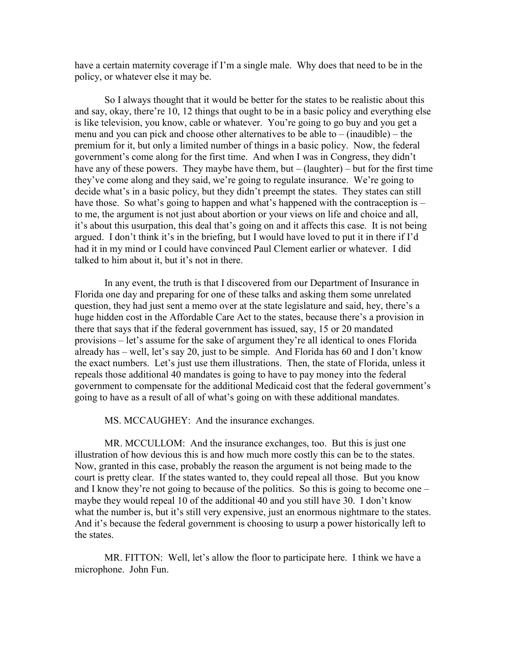have a certain maternity coverage if I'm a single male. Why does that need to be in the policy, or whatever else it may be.

So I always thought that it would be better for the states to be realistic about this and say, okay, there're 10, 12 things that ought to be in a basic policy and everything else is like television, you know, cable or whatever. You're going to go buy and you get a menu and you can pick and choose other alternatives to be able to  $-$  (inaudible)  $-$  the premium for it, but only a limited number of things in a basic policy. Now, the federal government's come along for the first time. And when I was in Congress, they didn't have any of these powers. They maybe have them, but  $-$  (laughter) – but for the first time they've come along and they said, we're going to regulate insurance. We're going to decide what's in a basic policy, but they didn't preempt the states. They states can still have those. So what's going to happen and what's happened with the contraception is – to me, the argument is not just about abortion or your views on life and choice and all, it's about this usurpation, this deal that's going on and it affects this case. It is not being argued. I don't think it's in the briefing, but I would have loved to put it in there if I'd had it in my mind or I could have convinced Paul Clement earlier or whatever. I did talked to him about it, but it's not in there.

In any event, the truth is that I discovered from our Department of Insurance in Florida one day and preparing for one of these talks and asking them some unrelated question, they had just sent a memo over at the state legislature and said, hey, there's a huge hidden cost in the Affordable Care Act to the states, because there's a provision in there that says that if the federal government has issued, say, 15 or 20 mandated provisions – let's assume for the sake of argument they're all identical to ones Florida already has – well, let's say 20, just to be simple. And Florida has 60 and I don't know the exact numbers. Let's just use them illustrations. Then, the state of Florida, unless it repeals those additional 40 mandates is going to have to pay money into the federal government to compensate for the additional Medicaid cost that the federal government's going to have as a result of all of what's going on with these additional mandates.

MS. MCCAUGHEY: And the insurance exchanges.

MR. MCCULLOM: And the insurance exchanges, too. But this is just one illustration of how devious this is and how much more costly this can be to the states. Now, granted in this case, probably the reason the argument is not being made to the court is pretty clear. If the states wanted to, they could repeal all those. But you know and I know they're not going to because of the politics. So this is going to become one – maybe they would repeal 10 of the additional 40 and you still have 30. I don't know what the number is, but it's still very expensive, just an enormous nightmare to the states. And it's because the federal government is choosing to usurp a power historically left to the states.

MR. FITTON: Well, let's allow the floor to participate here. I think we have a microphone. John Fun.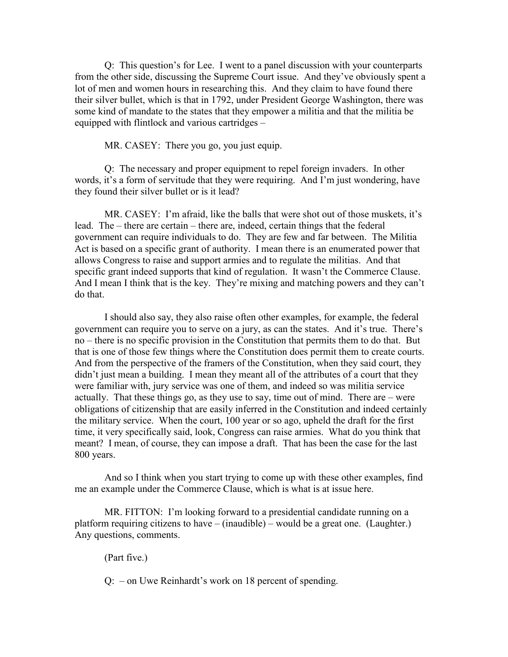Q: This question's for Lee. I went to a panel discussion with your counterparts from the other side, discussing the Supreme Court issue. And they've obviously spent a lot of men and women hours in researching this. And they claim to have found there their silver bullet, which is that in 1792, under President George Washington, there was some kind of mandate to the states that they empower a militia and that the militia be equipped with flintlock and various cartridges –

MR. CASEY: There you go, you just equip.

Q: The necessary and proper equipment to repel foreign invaders. In other words, it's a form of servitude that they were requiring. And I'm just wondering, have they found their silver bullet or is it lead?

MR. CASEY: I'm afraid, like the balls that were shot out of those muskets, it's lead. The – there are certain – there are, indeed, certain things that the federal government can require individuals to do. They are few and far between. The Militia Act is based on a specific grant of authority. I mean there is an enumerated power that allows Congress to raise and support armies and to regulate the militias. And that specific grant indeed supports that kind of regulation. It wasn't the Commerce Clause. And I mean I think that is the key. They're mixing and matching powers and they can't do that.

I should also say, they also raise often other examples, for example, the federal government can require you to serve on a jury, as can the states. And it's true. There's no – there is no specific provision in the Constitution that permits them to do that. But that is one of those few things where the Constitution does permit them to create courts. And from the perspective of the framers of the Constitution, when they said court, they didn't just mean a building. I mean they meant all of the attributes of a court that they were familiar with, jury service was one of them, and indeed so was militia service actually. That these things go, as they use to say, time out of mind. There are – were obligations of citizenship that are easily inferred in the Constitution and indeed certainly the military service. When the court, 100 year or so ago, upheld the draft for the first time, it very specifically said, look, Congress can raise armies. What do you think that meant? I mean, of course, they can impose a draft. That has been the case for the last 800 years.

And so I think when you start trying to come up with these other examples, find me an example under the Commerce Clause, which is what is at issue here.

MR. FITTON: I'm looking forward to a presidential candidate running on a platform requiring citizens to have – (inaudible) – would be a great one. (Laughter.) Any questions, comments.

(Part five.)

Q: – on Uwe Reinhardt's work on 18 percent of spending.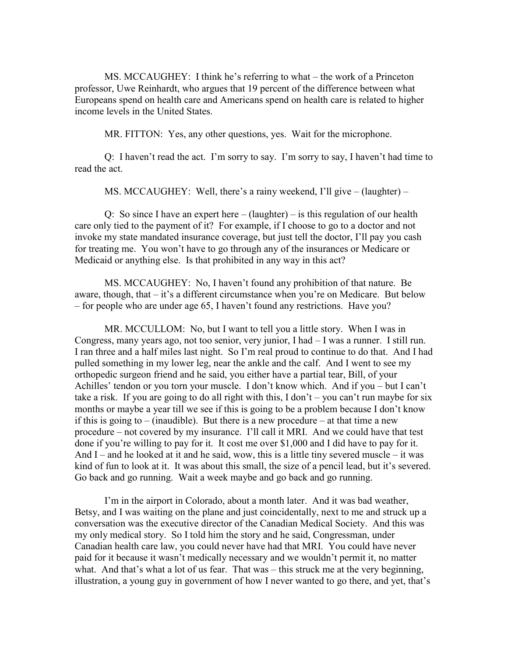MS. MCCAUGHEY: I think he's referring to what – the work of a Princeton professor, Uwe Reinhardt, who argues that 19 percent of the difference between what Europeans spend on health care and Americans spend on health care is related to higher income levels in the United States.

MR. FITTON: Yes, any other questions, yes. Wait for the microphone.

Q: I haven't read the act. I'm sorry to say. I'm sorry to say, I haven't had time to read the act.

MS. MCCAUGHEY: Well, there's a rainy weekend, I'll give – (laughter) –

Q: So since I have an expert here  $-$  (laughter)  $-$  is this regulation of our health care only tied to the payment of it? For example, if I choose to go to a doctor and not invoke my state mandated insurance coverage, but just tell the doctor, I'll pay you cash for treating me. You won't have to go through any of the insurances or Medicare or Medicaid or anything else. Is that prohibited in any way in this act?

MS. MCCAUGHEY: No, I haven't found any prohibition of that nature. Be aware, though, that – it's a different circumstance when you're on Medicare. But below – for people who are under age 65, I haven't found any restrictions. Have you?

MR. MCCULLOM: No, but I want to tell you a little story. When I was in Congress, many years ago, not too senior, very junior, I had – I was a runner. I still run. I ran three and a half miles last night. So I'm real proud to continue to do that. And I had pulled something in my lower leg, near the ankle and the calf. And I went to see my orthopedic surgeon friend and he said, you either have a partial tear, Bill, of your Achilles' tendon or you torn your muscle. I don't know which. And if you – but I can't take a risk. If you are going to do all right with this, I don't – you can't run maybe for six months or maybe a year till we see if this is going to be a problem because I don't know if this is going to – (inaudible). But there is a new procedure – at that time a new procedure – not covered by my insurance. I'll call it MRI. And we could have that test done if you're willing to pay for it. It cost me over \$1,000 and I did have to pay for it. And I – and he looked at it and he said, wow, this is a little tiny severed muscle – it was kind of fun to look at it. It was about this small, the size of a pencil lead, but it's severed. Go back and go running. Wait a week maybe and go back and go running.

I'm in the airport in Colorado, about a month later. And it was bad weather, Betsy, and I was waiting on the plane and just coincidentally, next to me and struck up a conversation was the executive director of the Canadian Medical Society. And this was my only medical story. So I told him the story and he said, Congressman, under Canadian health care law, you could never have had that MRI. You could have never paid for it because it wasn't medically necessary and we wouldn't permit it, no matter what. And that's what a lot of us fear. That was – this struck me at the very beginning, illustration, a young guy in government of how I never wanted to go there, and yet, that's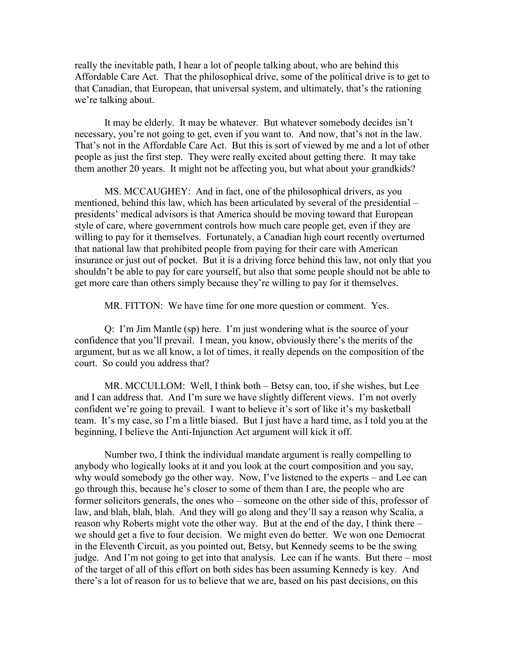really the inevitable path, I hear a lot of people talking about, who are behind this Affordable Care Act. That the philosophical drive, some of the political drive is to get to that Canadian, that European, that universal system, and ultimately, that's the rationing we're talking about.

It may be elderly. It may be whatever. But whatever somebody decides isn't necessary, you're not going to get, even if you want to. And now, that's not in the law. That's not in the Affordable Care Act. But this is sort of viewed by me and a lot of other people as just the first step. They were really excited about getting there. It may take them another 20 years. It might not be affecting you, but what about your grandkids?

MS. MCCAUGHEY: And in fact, one of the philosophical drivers, as you mentioned, behind this law, which has been articulated by several of the presidential – presidents' medical advisors is that America should be moving toward that European style of care, where government controls how much care people get, even if they are willing to pay for it themselves. Fortunately, a Canadian high court recently overturned that national law that prohibited people from paying for their care with American insurance or just out of pocket. But it is a driving force behind this law, not only that you shouldn't be able to pay for care yourself, but also that some people should not be able to get more care than others simply because they're willing to pay for it themselves.

MR. FITTON: We have time for one more question or comment. Yes.

Q: I'm Jim Mantle (sp) here. I'm just wondering what is the source of your confidence that you'll prevail. I mean, you know, obviously there's the merits of the argument, but as we all know, a lot of times, it really depends on the composition of the court. So could you address that?

MR. MCCULLOM: Well, I think both – Betsy can, too, if she wishes, but Lee and I can address that. And I'm sure we have slightly different views. I'm not overly confident we're going to prevail. I want to believe it's sort of like it's my basketball team. It's my case, so I'm a little biased. But I just have a hard time, as I told you at the beginning, I believe the Anti-Injunction Act argument will kick it off.

Number two, I think the individual mandate argument is really compelling to anybody who logically looks at it and you look at the court composition and you say, why would somebody go the other way. Now, I've listened to the experts – and Lee can go through this, because he's closer to some of them than I are, the people who are former solicitors generals, the ones who – someone on the other side of this, professor of law, and blah, blah, blah. And they will go along and they'll say a reason why Scalia, a reason why Roberts might vote the other way. But at the end of the day, I think there – we should get a five to four decision. We might even do better. We won one Democrat in the Eleventh Circuit, as you pointed out, Betsy, but Kennedy seems to be the swing judge. And I'm not going to get into that analysis. Lee can if he wants. But there – most of the target of all of this effort on both sides has been assuming Kennedy is key. And there's a lot of reason for us to believe that we are, based on his past decisions, on this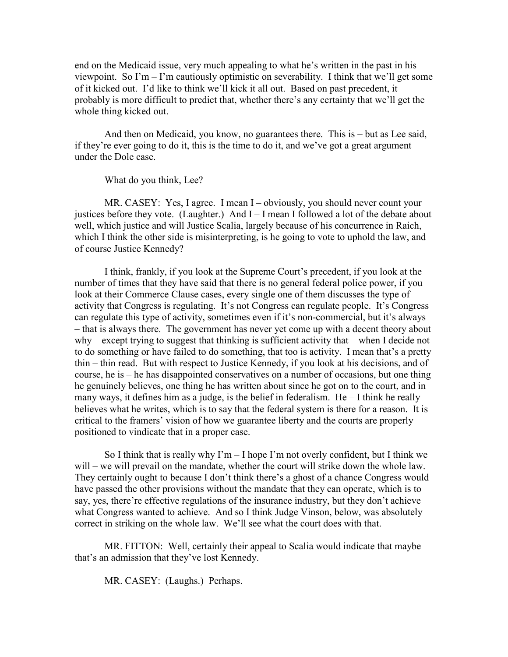end on the Medicaid issue, very much appealing to what he's written in the past in his viewpoint. So I'm – I'm cautiously optimistic on severability. I think that we'll get some of it kicked out. I'd like to think we'll kick it all out. Based on past precedent, it probably is more difficult to predict that, whether there's any certainty that we'll get the whole thing kicked out.

And then on Medicaid, you know, no guarantees there. This is – but as Lee said, if they're ever going to do it, this is the time to do it, and we've got a great argument under the Dole case.

What do you think, Lee?

MR. CASEY: Yes, I agree. I mean I – obviously, you should never count your justices before they vote. (Laughter.) And  $I - I$  mean I followed a lot of the debate about well, which justice and will Justice Scalia, largely because of his concurrence in Raich, which I think the other side is misinterpreting, is he going to vote to uphold the law, and of course Justice Kennedy?

I think, frankly, if you look at the Supreme Court's precedent, if you look at the number of times that they have said that there is no general federal police power, if you look at their Commerce Clause cases, every single one of them discusses the type of activity that Congress is regulating. It's not Congress can regulate people. It's Congress can regulate this type of activity, sometimes even if it's non-commercial, but it's always – that is always there. The government has never yet come up with a decent theory about why – except trying to suggest that thinking is sufficient activity that – when I decide not to do something or have failed to do something, that too is activity. I mean that's a pretty thin – thin read. But with respect to Justice Kennedy, if you look at his decisions, and of course, he is – he has disappointed conservatives on a number of occasions, but one thing he genuinely believes, one thing he has written about since he got on to the court, and in many ways, it defines him as a judge, is the belief in federalism. He – I think he really believes what he writes, which is to say that the federal system is there for a reason. It is critical to the framers' vision of how we guarantee liberty and the courts are properly positioned to vindicate that in a proper case.

So I think that is really why  $\Gamma m - I$  hope  $\Gamma m$  not overly confident, but I think we will – we will prevail on the mandate, whether the court will strike down the whole law. They certainly ought to because I don't think there's a ghost of a chance Congress would have passed the other provisions without the mandate that they can operate, which is to say, yes, there're effective regulations of the insurance industry, but they don't achieve what Congress wanted to achieve. And so I think Judge Vinson, below, was absolutely correct in striking on the whole law. We'll see what the court does with that.

MR. FITTON: Well, certainly their appeal to Scalia would indicate that maybe that's an admission that they've lost Kennedy.

MR. CASEY: (Laughs.) Perhaps.